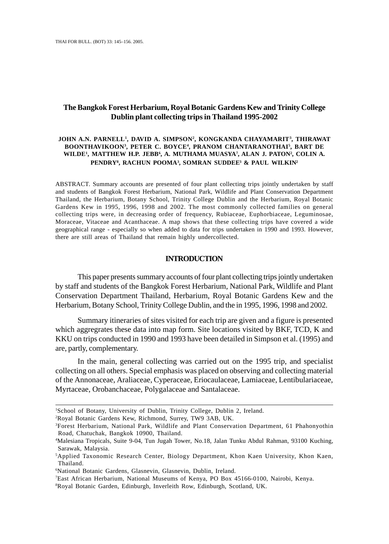## **The Bangkok Forest Herbarium, Royal Botanic Gardens Kew and Trinity College Dublin plant collecting trips in Thailand 1995-2002**

### **JOHN A.N. PARNELL1 , DAVID A. SIMPSON2 , KONGKANDA CHAYAMARIT3 , THIRAWAT BOONTHAVIKOON3 , PETER C. BOYCE4 , PRANOM CHANTARANOTHAI5 , BART DE WILDE1 , MATTHEW H.P. JEBB6 , A. MUTHAMA MUASYA7 , ALAN J. PATON2 , COLIN A. PENDRY8 , RACHUN POOMA3 , SOMRAN SUDDEE3 & PAUL WILKIN2**

ABSTRACT. Summary accounts are presented of four plant collecting trips jointly undertaken by staff and students of Bangkok Forest Herbarium, National Park, Wildlife and Plant Conservation Department Thailand, the Herbarium, Botany School, Trinity College Dublin and the Herbarium, Royal Botanic Gardens Kew in 1995, 1996, 1998 and 2002. The most commonly collected families on general collecting trips were, in decreasing order of frequency, Rubiaceae, Euphorbiaceae, Leguminosae, Moraceae, Vitaceae and Acanthaceae. A map shows that these collecting trips have covered a wide geographical range - especially so when added to data for trips undertaken in 1990 and 1993. However, there are still areas of Thailand that remain highly undercollected.

### **INTRODUCTION**

This paper presents summary accounts of four plant collecting trips jointly undertaken by staff and students of the Bangkok Forest Herbarium, National Park, Wildlife and Plant Conservation Department Thailand, Herbarium, Royal Botanic Gardens Kew and the Herbarium, Botany School, Trinity College Dublin, and the in 1995, 1996, 1998 and 2002.

Summary itineraries of sites visited for each trip are given and a figure is presented which aggregrates these data into map form. Site locations visited by BKF, TCD, K and KKU on trips conducted in 1990 and 1993 have been detailed in Simpson et al. (1995) and are, partly, complementary.

In the main, general collecting was carried out on the 1995 trip, and specialist collecting on all others. Special emphasis was placed on observing and collecting material of the Annonaceae, Araliaceae, Cyperaceae, Eriocaulaceae, Lamiaceae, Lentibulariaceae, Myrtaceae, Orobanchaceae, Polygalaceae and Santalaceae.

<sup>&</sup>lt;sup>1</sup>School of Botany, University of Dublin, Trinity College, Dublin 2, Ireland.

<sup>2</sup> Royal Botanic Gardens Kew, Richmond, Surrey, TW9 3AB, UK.

<sup>3</sup>Forest Herbarium, National Park, Wildlife and Plant Conservation Department, 61 Phahonyothin Road, Chatuchak, Bangkok 10900, Thailand.

<sup>4</sup> Malesiana Tropicals, Suite 9-04, Tun Jugah Tower, No.18, Jalan Tunku Abdul Rahman, 93100 Kuching, Sarawak, Malaysia.

<sup>5</sup>Applied Taxonomic Research Center, Biology Department, Khon Kaen University, Khon Kaen, Thailand.

<sup>6</sup> National Botanic Gardens, Glasnevin, Glasnevin, Dublin, Ireland.

<sup>7</sup> East African Herbarium, National Museums of Kenya, PO Box 45166-0100, Nairobi, Kenya.

<sup>8</sup> Royal Botanic Garden, Edinburgh, Inverleith Row, Edinburgh, Scotland, UK.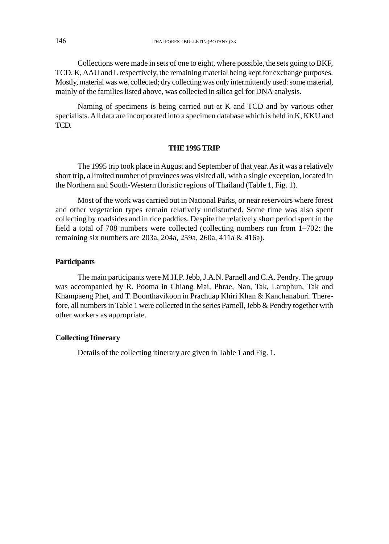Collections were made in sets of one to eight, where possible, the sets going to BKF, TCD, K, AAU and L respectively, the remaining material being kept for exchange purposes. Mostly, material was wet collected; dry collecting was only intermittently used: some material, mainly of the families listed above, was collected in silica gel for DNA analysis.

Naming of specimens is being carried out at K and TCD and by various other specialists. All data are incorporated into a specimen database which is held in K, KKU and TCD.

### **THE 1995 TRIP**

The 1995 trip took place in August and September of that year. As it was a relatively short trip, a limited number of provinces was visited all, with a single exception, located in the Northern and South-Western floristic regions of Thailand (Table 1, Fig. 1).

Most of the work was carried out in National Parks, or near reservoirs where forest and other vegetation types remain relatively undisturbed. Some time was also spent collecting by roadsides and in rice paddies. Despite the relatively short period spent in the field a total of 708 numbers were collected (collecting numbers run from 1–702: the remaining six numbers are 203a, 204a, 259a, 260a, 411a & 416a).

## **Participants**

The main participants were M.H.P. Jebb, J.A.N. Parnell and C.A. Pendry. The group was accompanied by R. Pooma in Chiang Mai, Phrae, Nan, Tak, Lamphun, Tak and Khampaeng Phet, and T. Boonthavikoon in Prachuap Khiri Khan & Kanchanaburi. Therefore, all numbers in Table 1 were collected in the series Parnell, Jebb & Pendry together with other workers as appropriate.

## **Collecting Itinerary**

Details of the collecting itinerary are given in Table 1 and Fig. 1.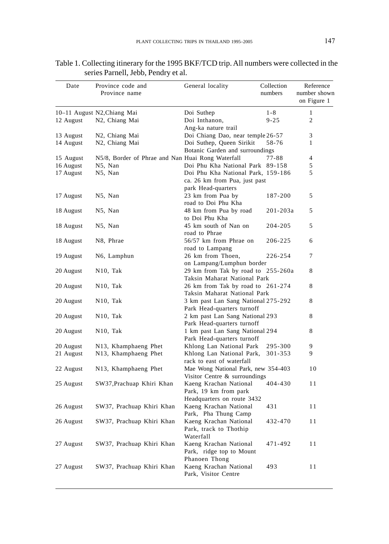| Date      | Province code and<br>Province name                | General locality                                                   | Collection<br>numbers | Reference<br>number shown<br>on Figure 1 |
|-----------|---------------------------------------------------|--------------------------------------------------------------------|-----------------------|------------------------------------------|
|           | 10-11 August N2, Chiang Mai                       | Doi Suthep                                                         | $1 - 8$               | $\mathbf{1}$                             |
| 12 August | N2, Chiang Mai                                    | Doi Inthanon,                                                      | $9 - 25$              | 2                                        |
|           |                                                   | Ang-ka nature trail                                                |                       |                                          |
| 13 August | N2, Chiang Mai                                    | Doi Chiang Dao, near temple 26-57                                  |                       | 3                                        |
| 14 August | N2, Chiang Mai                                    | Doi Suthep, Queen Sirikit                                          | 58-76                 | 1                                        |
|           |                                                   | Botanic Garden and surroundings                                    |                       |                                          |
| 15 August | N5/8, Border of Phrae and Nan Huai Rong Waterfall |                                                                    | $77 - 88$             | 4                                        |
| 16 August | N5, Nan                                           | Doi Phu Kha National Park 89-158                                   |                       | 5                                        |
| 17 August | N5, Nan                                           | Doi Phu Kha National Park, 159-186                                 |                       | 5                                        |
|           |                                                   | ca. 26 km from Pua, just past                                      |                       |                                          |
|           |                                                   | park Head-quarters                                                 |                       |                                          |
| 17 August | N5, Nan                                           | 23 km from Pua by                                                  | 187-200               | 5                                        |
|           |                                                   | road to Doi Phu Kha                                                |                       |                                          |
| 18 August | N5, Nan                                           | 48 km from Pua by road                                             | 201-203a              | 5                                        |
|           |                                                   | to Doi Phu Kha                                                     |                       |                                          |
| 18 August | N5, Nan                                           | 45 km south of Nan on                                              | 204-205               | 5                                        |
|           |                                                   | road to Phrae                                                      |                       |                                          |
| 18 August | N8, Phrae                                         | 56/57 km from Phrae on                                             | 206-225               | 6                                        |
|           |                                                   | road to Lampang                                                    |                       |                                          |
| 19 August | N6, Lamphun                                       | 26 km from Thoen,                                                  | 226-254               | 7                                        |
|           |                                                   | on Lampang/Lumphun border                                          |                       | 8                                        |
| 20 August | N10, Tak                                          | 29 km from Tak by road to 255-260a<br>Taksin Maharat National Park |                       |                                          |
| 20 August | N <sub>10</sub> , Tak                             | 26 km from Tak by road to 261-274                                  |                       | 8                                        |
|           |                                                   | Taksin Maharat National Park                                       |                       |                                          |
| 20 August | N10, Tak                                          | 3 km past Lan Sang National 275-292                                |                       | 8                                        |
|           |                                                   | Park Head-quarters turnoff                                         |                       |                                          |
| 20 August | N10, Tak                                          | 2 km past Lan Sang National 293                                    |                       | 8                                        |
|           |                                                   | Park Head-quarters turnoff                                         |                       |                                          |
| 20 August | N10, Tak                                          | 1 km past Lan Sang National 294                                    |                       | 8                                        |
|           |                                                   | Park Head-quarters turnoff                                         |                       |                                          |
| 20 August | N13, Khamphaeng Phet                              | Khlong Lan National Park                                           | 295-300               | 9                                        |
| 21 August | N13, Khamphaeng Phet                              | Khlong Lan National Park,                                          | 301-353               | 9                                        |
|           |                                                   | rack to east of waterfall                                          |                       |                                          |
| 22 August | N13, Khamphaeng Phet                              | Mae Wong National Park, new 354-403                                |                       | 10                                       |
|           |                                                   | Visitor Centre & surroundings                                      |                       |                                          |
| 25 August | SW37, Prachuap Khiri Khan                         | Kaeng Krachan National                                             | 404-430               | 11                                       |
|           |                                                   | Park, 19 km from park                                              |                       |                                          |
|           |                                                   | Headquarters on route 3432                                         |                       |                                          |
| 26 August | SW37, Prachuap Khiri Khan                         | Kaeng Krachan National                                             | 431                   | 11                                       |
|           |                                                   | Park, Pha Thung Camp                                               |                       |                                          |
| 26 August | SW37, Prachuap Khiri Khan                         | Kaeng Krachan National                                             | 432-470               | 11                                       |
|           |                                                   | Park, track to Thothip                                             |                       |                                          |
|           |                                                   | Waterfall                                                          |                       |                                          |
| 27 August | SW37, Prachuap Khiri Khan                         | Kaeng Krachan National                                             | 471-492               | 11                                       |
|           |                                                   | Park, ridge top to Mount                                           |                       |                                          |
|           |                                                   | Phanoen Thong                                                      |                       |                                          |
| 27 August | SW37, Prachuap Khiri Khan                         | Kaeng Krachan National<br>Park, Visitor Centre                     | 493                   | 11                                       |

## Table 1. Collecting itinerary for the 1995 BKF/TCD trip. All numbers were collected in the series Parnell, Jebb, Pendry et al.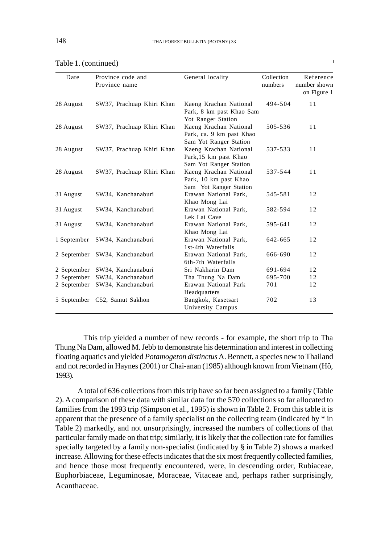| Date        | Province code and<br>Province name | General locality                                                                                   | Collection<br>numbers | Reference<br>number shown<br>on Figure 1 |
|-------------|------------------------------------|----------------------------------------------------------------------------------------------------|-----------------------|------------------------------------------|
| 28 August   | SW37, Prachuap Khiri Khan          | Kaeng Krachan National<br>Park, 8 km past Khao Sam                                                 | 494-504               | 11                                       |
| 28 August   | SW37, Prachuap Khiri Khan          | Yot Ranger Station<br>Kaeng Krachan National<br>Park, ca. 9 km past Khao<br>Sam Yot Ranger Station | 505-536               | 11                                       |
| 28 August   | SW37, Prachuap Khiri Khan          | Kaeng Krachan National<br>Park, 15 km past Khao<br>Sam Yot Ranger Station                          | 537-533               | 11                                       |
| 28 August   | SW37, Prachuap Khiri Khan          | Kaeng Krachan National<br>Park, 10 km past Khao<br>Sam Yot Ranger Station                          | 537-544               | 11                                       |
| 31 August   | SW34, Kanchanaburi                 | Erawan National Park,<br>Khao Mong Lai                                                             | 545-581               | 12                                       |
| 31 August   | SW34, Kanchanaburi                 | Erawan National Park,<br>Lek Lai Cave                                                              | 582-594               | 12                                       |
| 31 August   | SW34, Kanchanaburi                 | Erawan National Park,<br>Khao Mong Lai                                                             | 595-641               | 12                                       |
| 1 September | SW34, Kanchanaburi                 | Erawan National Park,<br>1st-4th Waterfalls                                                        | 642-665               | 12                                       |
|             | 2 September SW34, Kanchanaburi     | Erawan National Park,<br>6th-7th Waterfalls                                                        | 666-690               | 12                                       |
| 2 September | SW34, Kanchanaburi                 | Sri Nakharin Dam                                                                                   | 691-694               | 12                                       |
| 2 September | SW34, Kanchanaburi                 | Tha Thung Na Dam                                                                                   | 695-700               | 12                                       |
| 2 September | SW34, Kanchanaburi                 | Erawan National Park<br>Headquarters                                                               | 701                   | 12                                       |
|             | 5 September C52, Samut Sakhon      | Bangkok, Kasetsart<br>University Campus                                                            | 702                   | 13                                       |

| Table 1. (continued) |  |  |  |  |
|----------------------|--|--|--|--|
|----------------------|--|--|--|--|

This trip yielded a number of new records - for example, the short trip to Tha Thung Na Dam, allowed M. Jebb to demonstrate his determination and interest in collecting floating aquatics and yielded *Potamogeton distinctus* A. Bennett, a species new to Thailand and not recorded in Haynes (2001) or Chai-anan (1985) although known from Vietnam (Hô, 1993).

A total of 636 collections from this trip have so far been assigned to a family (Table 2). A comparison of these data with similar data for the 570 collections so far allocated to families from the 1993 trip (Simpson et al., 1995) is shown in Table 2. From this table it is apparent that the presence of a family specialist on the collecting team (indicated by \* in Table 2) markedly, and not unsurprisingly, increased the numbers of collections of that particular family made on that trip; similarly, it is likely that the collection rate for families specially targeted by a family non-specialist (indicated by § in Table 2) shows a marked increase. Allowing for these effects indicates that the six most frequently collected families, and hence those most frequently encountered, were, in descending order, Rubiaceae, Euphorbiaceae, Leguminosae, Moraceae, Vitaceae and, perhaps rather surprisingly, Acanthaceae.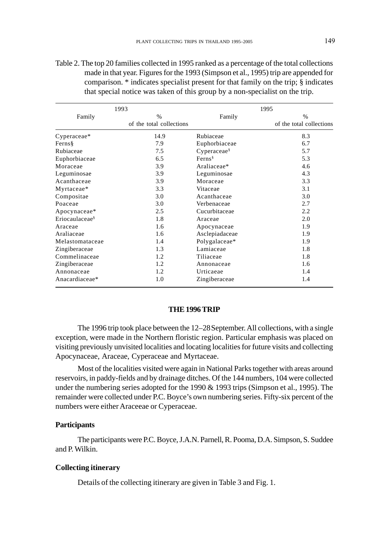| 1993                       |                          | 1995                   |                          |  |
|----------------------------|--------------------------|------------------------|--------------------------|--|
| Family                     | $\frac{0}{0}$            | Family                 | $\frac{9}{6}$            |  |
|                            | of the total collections |                        | of the total collections |  |
| Cyperaceae*                | 14.9                     | Rubiaceae              | 8.3                      |  |
| Ferns§                     | 7.9                      | Euphorbiaceae          | 6.7                      |  |
| Rubiaceae                  | 7.5                      | $C$ yperaceae $\delta$ | 5.7                      |  |
| Euphorbiaceae              | 6.5                      | Ferns <sup>§</sup>     | 5.3                      |  |
| Moraceae                   | 3.9                      | Araliaceae*            | 4.6                      |  |
| Leguminosae                | 3.9                      | Leguminosae            | 4.3                      |  |
| Acanthaceae                | 3.9                      | Moraceae               | 3.3                      |  |
| Myrtaceae*                 | 3.3                      | Vitaceae               | 3.1                      |  |
| Compositae                 | 3.0                      | Acanthaceae            | 3.0                      |  |
| Poaceae                    | 3.0                      | Verbenaceae            | 2.7                      |  |
| Apocynaceae*               | 2.5                      | Cucurbitaceae          | 2.2                      |  |
| Eriocaulaceae <sup>§</sup> | 1.8                      | Araceae                | 2.0                      |  |
| Araceae                    | 1.6                      | Apocynaceae            | 1.9                      |  |
| Araliaceae                 | 1.6                      | Asclepiadaceae         | 1.9                      |  |
| Melastomataceae            | 1.4                      | Polygalaceae*          | 1.9                      |  |
| Zingiberaceae              | 1.3                      | Lamiaceae              | 1.8                      |  |
| Commelinaceae              | 1.2                      | Tiliaceae              | 1.8                      |  |
| Zingiberaceae              | 1.2                      | Annonaceae             | 1.6                      |  |
| Annonaceae                 | 1.2                      | Urticaeae              | 1.4                      |  |
| Anacardiaceae*             | 1.0                      | Zingiberaceae          | 1.4                      |  |

Table 2. The top 20 families collected in 1995 ranked as a percentage of the total collections made in that year. Figures for the 1993 (Simpson et al., 1995) trip are appended for comparison. \* indicates specialist present for that family on the trip; § indicates that special notice was taken of this group by a non-specialist on the trip.

### **THE 1996 TRIP**

The 1996 trip took place between the 12–28September. All collections, with a single exception, were made in the Northern floristic region. Particular emphasis was placed on visiting previously unvisited localities and locating localities for future visits and collecting Apocynaceae, Araceae, Cyperaceae and Myrtaceae.

Most of the localities visited were again in National Parks together with areas around reservoirs, in paddy-fields and by drainage ditches. Of the 144 numbers, 104 were collected under the numbering series adopted for the 1990 & 1993 trips (Simpson et al., 1995). The remainder were collected under P.C. Boyce's own numbering series. Fifty-six percent of the numbers were either Araceeae or Cyperaceae.

## **Participants**

The participants were P.C. Boyce, J.A.N. Parnell, R. Pooma, D.A. Simpson, S. Suddee and P. Wilkin.

## **Collecting itinerary**

Details of the collecting itinerary are given in Table 3 and Fig. 1.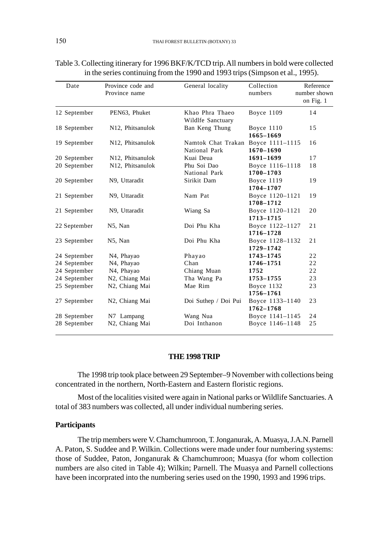| Date         | Province code and<br>Province name | General locality                     | Collection<br>numbers        | Reference<br>number shown<br>on Fig. 1 |
|--------------|------------------------------------|--------------------------------------|------------------------------|----------------------------------------|
| 12 September | PEN63, Phuket                      | Khao Phra Thaeo<br>Wildlfe Sanctuary | Boyce 1109                   | 14                                     |
| 18 September | N12, Phitsanulok                   | Ban Keng Thung                       | Boyce 1110<br>1665-1669      | 15                                     |
| 19 September | N12, Phitsanulok                   | Namtok Chat Trakan<br>National Park  | Boyce 1111-1115<br>1670-1690 | 16                                     |
| 20 September | N12, Phitsanulok                   | Kuai Deua                            | 1691-1699                    | 17                                     |
| 20 September | N12, Phitsanulok                   | Phu Soi Dao<br>National Park         | Boyce 1116-1118<br>1700-1703 | 18                                     |
| 20 September | N9, Uttaradit                      | Sirikit Dam                          | Boyce 1119<br>1704-1707      | 19                                     |
| 21 September | N9, Uttaradit                      | Nam Pat                              | Boyce 1120-1121<br>1708-1712 | 19                                     |
| 21 September | N9, Uttaradit                      | Wiang Sa                             | Boyce 1120-1121<br>1713-1715 | 20                                     |
| 22 September | N5, Nan                            | Doi Phu Kha                          | Boyce 1122-1127<br>1716-1728 | 21                                     |
| 23 September | N5, Nan                            | Doi Phu Kha                          | Boyce 1128-1132<br>1729-1742 | 21                                     |
| 24 September | N <sub>4</sub> , Phayao            | Phayao                               | 1743-1745                    | 22                                     |
| 24 September | N4, Phayao                         | Chan                                 | 1746-1751                    | 22                                     |
| 24 September | N4, Phayao                         | Chiang Muan                          | 1752                         | 22                                     |
| 24 September | N2, Chiang Mai                     | Tha Wang Pa                          | 1753-1755                    | 23                                     |
| 25 September | N2, Chiang Mai                     | Mae Rim                              | Boyce 1132<br>1756-1761      | 23                                     |
| 27 September | N <sub>2</sub> , Chiang Mai        | Doi Suthep / Doi Pui                 | Boyce 1133-1140<br>1762-1768 | 23                                     |
| 28 September | N7 Lampang                         | Wang Nua                             | Boyce 1141-1145              | 24                                     |
| 28 September | N2, Chiang Mai                     | Doi Inthanon                         | Boyce 1146-1148              | 25                                     |

Table 3. Collecting itinerary for 1996 BKF/K/TCD trip. All numbers in bold were collected in the series continuing from the 1990 and 1993 trips (Simpson et al., 1995).

### **THE 1998 TRIP**

The 1998 trip took place between 29 September–9 November with collections being concentrated in the northern, North-Eastern and Eastern floristic regions.

Most of the localities visited were again in National parks or Wildlife Sanctuaries. A total of 383 numbers was collected, all under individual numbering series.

## **Participants**

The trip members were V. Chamchumroon, T. Jonganurak, A. Muasya, J.A.N. Parnell A. Paton, S. Suddee and P. Wilkin. Collections were made under four numbering systems: those of Suddee, Paton, Jonganurak & Chamchumroon; Muasya (for whom collection numbers are also cited in Table 4); Wilkin; Parnell. The Muasya and Parnell collections have been incorprated into the numbering series used on the 1990, 1993 and 1996 trips.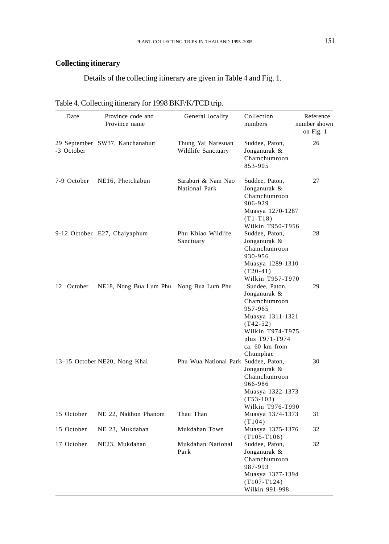# **Collecting itinerary**

Details of the collecting itinerary are given in Table 4 and Fig. 1.

| Date        | Province code and<br>Province name      | General locality                         | Collection<br>numbers                                                                                                                                           | Reference<br>number shown<br>on Fig. 1 |
|-------------|-----------------------------------------|------------------------------------------|-----------------------------------------------------------------------------------------------------------------------------------------------------------------|----------------------------------------|
| -3 October  | 29 September SW37, Kanchanaburi         | Thung Yai Naresuan<br>Wildlife Sanctuary | Suddee, Paton,<br>Jonganurak &<br>Chamchumroon<br>853-905                                                                                                       | 26                                     |
| 7-9 October | NE16, Phetchabun                        | Saraburi & Nam Nao<br>National Park      | Suddee, Paton,<br>Jonganurak &<br>Chamchumroon<br>906-929<br>Muasya 1270-1287<br>$(T1-T18)$<br>Wilkin T950-T956                                                 | 27                                     |
|             | 9-12 October E27, Chaiyaphum            | Phu Khiao Wildlife<br>Sanctuary          | Suddee, Paton,<br>Jonganurak &<br>Chamchumroon<br>930-956<br>Muasya 1289-1310<br>$(T20-41)$<br>Wilkin T957-T970                                                 | 28                                     |
| 12 October  | NE18, Nong Bua Lum Phu Nong Bua Lum Phu |                                          | Suddee, Paton,<br>Jonganurak &<br>Chamchumroon<br>957-965<br>Muasya 1311-1321<br>$(T42-52)$<br>Wilkin T974-T975<br>plus T971-T974<br>ca. 60 km from<br>Chumphae | 29                                     |
|             | 13–15 October NE20, Nong Khai           | Phu Wua National Park Suddee, Paton,     | Jonganurak &<br>Chamchumroon<br>966-986<br>Muasya 1322-1373<br>$(T53-103)$<br>Wilkin T976-T990                                                                  | 30                                     |
| 15 October  | NE 22, Nakhon Phanom                    | Thau Than                                | Muasya 1374-1373<br>(T104)                                                                                                                                      | 31                                     |
| 15 October  | NE 23, Mukdahan                         | Mukdahan Town                            | Muasya 1375-1376<br>$(T105-T106)$                                                                                                                               | 32                                     |
| 17 October  | NE23, Mukdahan                          | Mukdahan National<br>Park                | Suddee, Paton,<br>Jonganurak &<br>Chamchumroon<br>987-993<br>Muasya 1377-1394<br>$(T107-T124)$<br>Wilkin 991-998                                                | 32                                     |

| Table 4. Collecting itinerary for 1998 BKF/K/TCD trip. |
|--------------------------------------------------------|
|--------------------------------------------------------|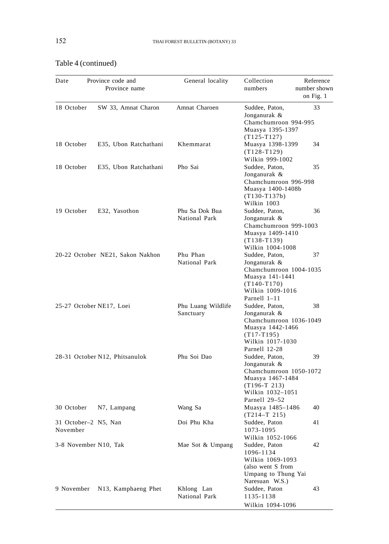| Date                             | Province code and<br>Province name | General locality                | Collection<br>numbers                                                                                                                                   | Reference<br>number shown<br>on Fig. 1 |
|----------------------------------|------------------------------------|---------------------------------|---------------------------------------------------------------------------------------------------------------------------------------------------------|----------------------------------------|
| 18 October                       | SW 33, Amnat Charon                | Amnat Charoen                   | Suddee, Paton,                                                                                                                                          | 33                                     |
|                                  |                                    |                                 | Jonganurak &<br>Chamchumroon 994-995<br>Muasya 1395-1397<br>$(T125-T127)$                                                                               |                                        |
| 18 October                       | E35, Ubon Ratchathani              | Khemmarat                       | Muasya 1398-1399<br>$(T128-T129)$<br>Wilkin 999-1002                                                                                                    | 34                                     |
| 18 October                       | E35, Ubon Ratchathani              | Pho Sai                         | Suddee, Paton,<br>Jonganurak &<br>Chamchumroon 996-998<br>Muasya 1400-1408b<br>$(T130-T137b)$                                                           | 35                                     |
| 19 October                       | E32, Yasothon                      | Phu Sa Dok Bua<br>National Park | Wilkin 1003<br>Suddee, Paton,<br>Jonganurak &<br>Chamchumroon 999-1003<br>Muasya 1409-1410<br>$(T138-T139)$                                             | 36                                     |
|                                  | 20-22 October NE21, Sakon Nakhon   | Phu Phan<br>National Park       | Wilkin 1004-1008<br>Suddee, Paton,<br>Jonganurak &<br>Chamchumroon 1004-1035<br>Muasya 141-1441<br>$(T140-T170)$                                        | 37                                     |
| 25-27 October NE17, Loei         |                                    | Phu Luang Wildlife<br>Sanctuary | Wilkin 1009-1016<br>Parnell 1-11<br>Suddee, Paton,<br>Jonganurak &<br>Chamchumroon 1036-1049<br>Muasya 1442-1466<br>$(T17-T195)$                        | 38                                     |
|                                  | 28-31 October N12, Phitsanulok     | Phu Soi Dao                     | Wilkin 1017-1030<br>Parnell 12-28<br>Suddee, Paton,<br>Jonganurak &<br>Chamchumroon 1050-1072<br>Muasya 1467-1484<br>$(T196-T 213)$<br>Wilkin 1032-1051 | 39                                     |
| 30 October                       | N7, Lampang                        | Wang Sa                         | Parnell 29–52<br>Muasya 1485-1486                                                                                                                       | 40                                     |
| 31 October-2 N5, Nan<br>November |                                    | Doi Phu Kha                     | $(T214-T 215)$<br>Suddee, Paton<br>1073-1095                                                                                                            | 41                                     |
| 3-8 November N10, Tak            |                                    | Mae Sot & Umpang                | Wilkin 1052-1066<br>Suddee, Paton<br>1096-1134<br>Wilkin 1069-1093<br>(also went S from<br>Umpang to Thung Yai<br>Naresuan W.S.)                        | 42                                     |
| 9 November                       | N13, Kamphaeng Phet                | Khlong Lan<br>National Park     | Suddee, Paton<br>1135-1138<br>Wilkin 1094-1096                                                                                                          | 43                                     |

# Table 4 (continued)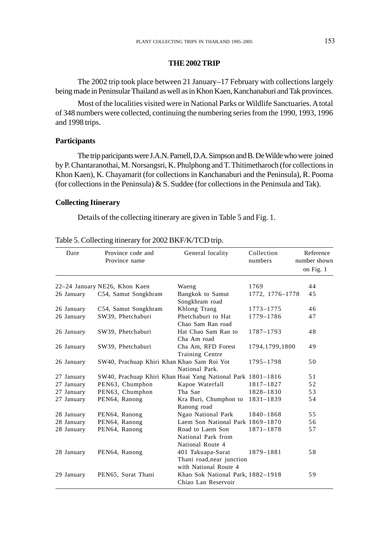### **THE 2002 TRIP**

The 2002 trip took place between 21 January–17 February with collections largely being made in Peninsular Thailand as well as in Khon Kaen, Kanchanaburi and Tak provinces.

Most of the localities visited were in National Parks or Wildlife Sanctuaries. A total of 348 numbers were collected, continuing the numbering series from the 1990, 1993, 1996 and 1998 trips.

## **Participants**

The trip paricipants were J.A.N. Parnell, D.A. Simpson and B. De Wilde who were joined by P. Chantaranothai, M. Norsangsri, K. Phulphong and T. Thitimetharoch (for collections in Khon Kaen), K. Chayamarit (for collections in Kanchanaburi and the Peninsula), R. Pooma (for collections in the Peninsula) & S. Suddee (for collections in the Peninsula and Tak).

## **Collecting Itinerary**

Details of the collecting itinerary are given in Table 5 and Fig. 1.

| Date       | Province code and<br>Province name                          | General locality                                                        | Collection<br>numbers | Reference<br>number shown<br>on Fig. 1 |
|------------|-------------------------------------------------------------|-------------------------------------------------------------------------|-----------------------|----------------------------------------|
|            |                                                             |                                                                         |                       |                                        |
|            | 22–24 January NE26, Khon Kaen                               | Waeng                                                                   | 1769                  | 44                                     |
| 26 January | C54, Samut Songkhram                                        | Bangkok to Samut<br>Songkhram road                                      | 1772, 1776-1778       | 45                                     |
| 26 January | C54, Samut Songkhram                                        | Khlong Trang                                                            | 1773-1775             | 46                                     |
| 26 January | SW39, Phetchaburi                                           | Phetchaburi to Hat                                                      | 1779-1786             | 47                                     |
|            |                                                             | Chao Sam Ran road                                                       |                       |                                        |
| 26 January | SW39, Phetchaburi                                           | Hat Chao Sam Ran to<br>Cha Am road                                      | 1787-1793             | 48                                     |
| 26 January | SW39, Phetchaburi                                           | Cha Am, RFD Forest<br>Training Centre                                   | 1794, 1799, 1800      | 49                                     |
| 26 January | SW40, Prachuap Khiri Khan Khao Sam Roi Yot                  | National Park.                                                          | 1795-1798             | 50                                     |
| 27 January | SW40, Prachuap Khiri Khan Huai Yang National Park 1801–1816 |                                                                         |                       | 51                                     |
| 27 January | PEN63, Chumphon                                             | Kapoe Waterfall                                                         | 1817-1827             | 52                                     |
| 27 January | PEN63, Chumphon                                             | Tha Sae                                                                 | 1828-1830             | 53                                     |
| 27 January | PEN64, Ranong                                               | Kra Buri, Chumphon to<br>Ranong road                                    | 1831-1839             | 54                                     |
| 28 January | PEN64, Ranong                                               | Ngao National Park                                                      | 1840-1868             | 55                                     |
| 28 January | PEN64, Ranong                                               | Laem Son National Park 1869-1870                                        |                       | 56                                     |
| 28 January | PEN64, Ranong                                               | Road to Laem Son<br>National Park from<br>National Route 4              | 1871-1878             | 57                                     |
| 28 January | PEN64, Ranong                                               | 401 Takuapa-Surat<br>Thani road, near junction<br>with National Route 4 | 1879-1881             | 58                                     |
| 29 January | PEN65, Surat Thani                                          | Khao Sok National Park, 1882-1918<br>Chiao Lan Reservoir                |                       | 59                                     |

## Table 5. Collecting itinerary for 2002 BKF/K/TCD trip.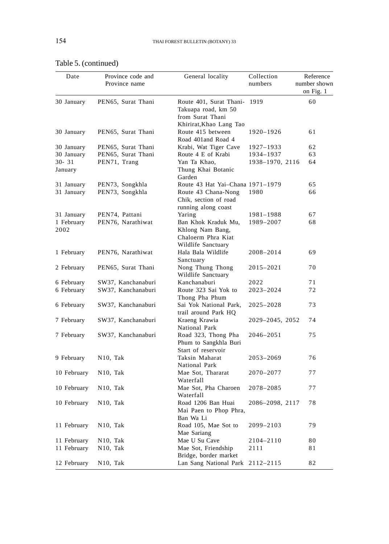| Date                 | Province code and<br>Province name | General locality                                                                              | Collection<br>numbers | Reference<br>number shown<br>on Fig. 1 |
|----------------------|------------------------------------|-----------------------------------------------------------------------------------------------|-----------------------|----------------------------------------|
| 30 January           | PEN65, Surat Thani                 | Route 401, Surat Thani-<br>Takuapa road, km 50<br>from Surat Thani<br>Khirirat, Khao Lang Tao | 1919                  | 60                                     |
| 30 January           | PEN65, Surat Thani                 | Route 415 between<br>Road 401 and Road 4                                                      | 1920-1926             | 61                                     |
| 30 January           | PEN65, Surat Thani                 | Krabi, Wat Tiger Cave                                                                         | 1927-1933             | 62                                     |
| 30 January           | PEN65, Surat Thani                 | Route 4 E of Krabi                                                                            | 1934-1937             | 63                                     |
| $30 - 31$<br>January | PEN71, Trang                       | Yan Ta Khao,<br>Thung Khai Botanic<br>Garden                                                  | 1938-1970, 2116       | 64                                     |
| 31 January           | PEN73, Songkhla                    | Route 43 Hat Yai-Chana 1971-1979                                                              |                       | 65                                     |
| 31 January           | PEN73, Songkhla                    | Route 43 Chana-Nong<br>Chik, section of road<br>running along coast                           | 1980                  | 66                                     |
| 31 January           | PEN74, Pattani                     | Yaring                                                                                        | 1981-1988             | 67                                     |
| 1 February<br>2002   | PEN76, Narathiwat                  | Ban Khok Kraduk Mu,<br>Khlong Nam Bang,<br>Chaloerm Phra Kiat<br>Wildlife Sanctuary           | 1989-2007             | 68                                     |
| 1 February           | PEN76, Narathiwat                  | Hala Bala Wildlife<br>Sanctuary                                                               | 2008-2014             | 69                                     |
| 2 February           | PEN65, Surat Thani                 | Nong Thung Thong<br>Wildlife Sanctuary                                                        | 2015-2021             | 70                                     |
| 6 February           | SW37, Kanchanaburi                 | Kanchanaburi                                                                                  | 2022                  | 71                                     |
| 6 February           | SW37, Kanchanaburi                 | Route 323 Sai Yok to<br>Thong Pha Phum                                                        | 2023-2024             | 72                                     |
| 6 February           | SW37, Kanchanaburi                 | Sai Yok National Park,<br>trail around Park HQ                                                | 2025-2028             | 73                                     |
| 7 February           | SW37, Kanchanaburi                 | Kraeng Krawia<br>National Park                                                                | 2029-2045, 2052       | 74                                     |
| 7 February           | SW37, Kanchanaburi                 | Road 323, Thong Pha<br>Phum to Sangkhla Buri<br>Start of reservoir                            | 2046–2051             | 75                                     |
| 9 February           | N <sub>10</sub> , Tak              | Taksin Maharat<br>National Park                                                               | 2053-2069             | 76                                     |
| 10 February          | N <sub>10</sub> , Tak              | Mae Sot, Thararat<br>Waterfall                                                                | 2070-2077             | 77                                     |
| 10 February          | N <sub>10</sub> , Tak              | Mae Sot, Pha Charoen<br>Waterfall                                                             | 2078-2085             | 77                                     |
| 10 February          | N <sub>10</sub> , Tak              | Road 1206 Ban Huai<br>Mai Paen to Phop Phra,<br>Ban Wa Li                                     | 2086-2098, 2117       | 78                                     |
| 11 February          | N <sub>10</sub> , Tak              | Road 105, Mae Sot to<br>Mae Sariang                                                           | 2099-2103             | 79                                     |
| 11 February          | N <sub>10</sub> , Tak              | Mae U Su Cave                                                                                 | 2104-2110             | 80                                     |
| 11 February          | N <sub>10</sub> , Tak              | Mae Sot, Friendship<br>Bridge, border market                                                  | 2111                  | 81                                     |
| 12 February          | N10, Tak                           | Lan Sang National Park                                                                        | 2112-2115             | 82                                     |

# Table 5. (continued)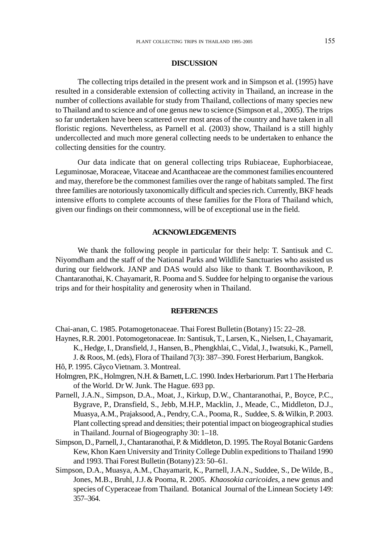### **DISCUSSION**

The collecting trips detailed in the present work and in Simpson et al. (1995) have resulted in a considerable extension of collecting activity in Thailand, an increase in the number of collections available for study from Thailand, collections of many species new to Thailand and to science and of one genus new to science (Simpson et al., 2005). The trips so far undertaken have been scattered over most areas of the country and have taken in all floristic regions. Nevertheless, as Parnell et al. (2003) show, Thailand is a still highly undercollected and much more general collecting needs to be undertaken to enhance the collecting densities for the country.

Our data indicate that on general collecting trips Rubiaceae, Euphorbiaceae, Leguminosae, Moraceae, Vitaceae and Acanthaceae are the commonest families encountered and may, therefore be the commonest families over the range of habitats sampled. The first three families are notoriously taxonomically difficult and species rich. Currently, BKF heads intensive efforts to complete accounts of these families for the Flora of Thailand which, given our findings on their commonness, will be of exceptional use in the field.

### **ACKNOWLEDGEMENTS**

We thank the following people in particular for their help: T. Santisuk and C. Niyomdham and the staff of the National Parks and Wildlife Sanctuaries who assisted us during our fieldwork. JANP and DAS would also like to thank T. Boonthavikoon, P. Chantaranothai, K. Chayamarit, R. Pooma and S. Suddee for helping to organise the various trips and for their hospitality and generosity when in Thailand.

## **REFERENCES**

Chai-anan, C. 1985. Potamogetonaceae. Thai Forest Bulletin (Botany) 15: 22–28.

Haynes, R.R. 2001. Potomogetonaceae. In: Santisuk, T., Larsen, K., Nielsen, I., Chayamarit, K., Hedge, I., Dransfield, J., Hansen, B., Phengkhlai, C., Vidal, J., Iwatsuki, K., Parnell,

J. & Roos, M. (eds), Flora of Thailand 7(3): 387–390. Forest Herbarium, Bangkok.

- Hô, P. 1995. Câyco Vietnam. 3. Montreal.
- Holmgren, P.K., Holmgren, N.H. & Barnett, L.C. 1990. Index Herbariorum. Part 1 The Herbaria of the World. Dr W. Junk. The Hague. 693 pp.
- Parnell, J.A.N., Simpson, D.A., Moat, J., Kirkup, D.W., Chantaranothai, P., Boyce, P.C., Bygrave, P., Dransfield, S., Jebb, M.H.P., Macklin, J., Meade, C., Middleton, D.J., Muasya, A.M., Prajaksood, A., Pendry, C.A., Pooma, R., Suddee, S. & Wilkin, P. 2003. Plant collecting spread and densities; their potential impact on biogeographical studies in Thailand. Journal of Biogeography 30: 1–18.
- Simpson, D., Parnell, J., Chantaranothai, P. & Middleton, D. 1995. The Royal Botanic Gardens Kew, Khon Kaen University and Trinity College Dublin expeditions to Thailand 1990 and 1993. Thai Forest Bulletin (Botany) 23: 50–61.
- Simpson, D.A., Muasya, A.M., Chayamarit, K., Parnell, J.A.N., Suddee, S., De Wilde, B., Jones, M.B., Bruhl, J.J.& Pooma, R. 2005. *Khaosokia caricoides,* a new genus and species of Cyperaceae from Thailand. Botanical Journal of the Linnean Society 149: 357–364.